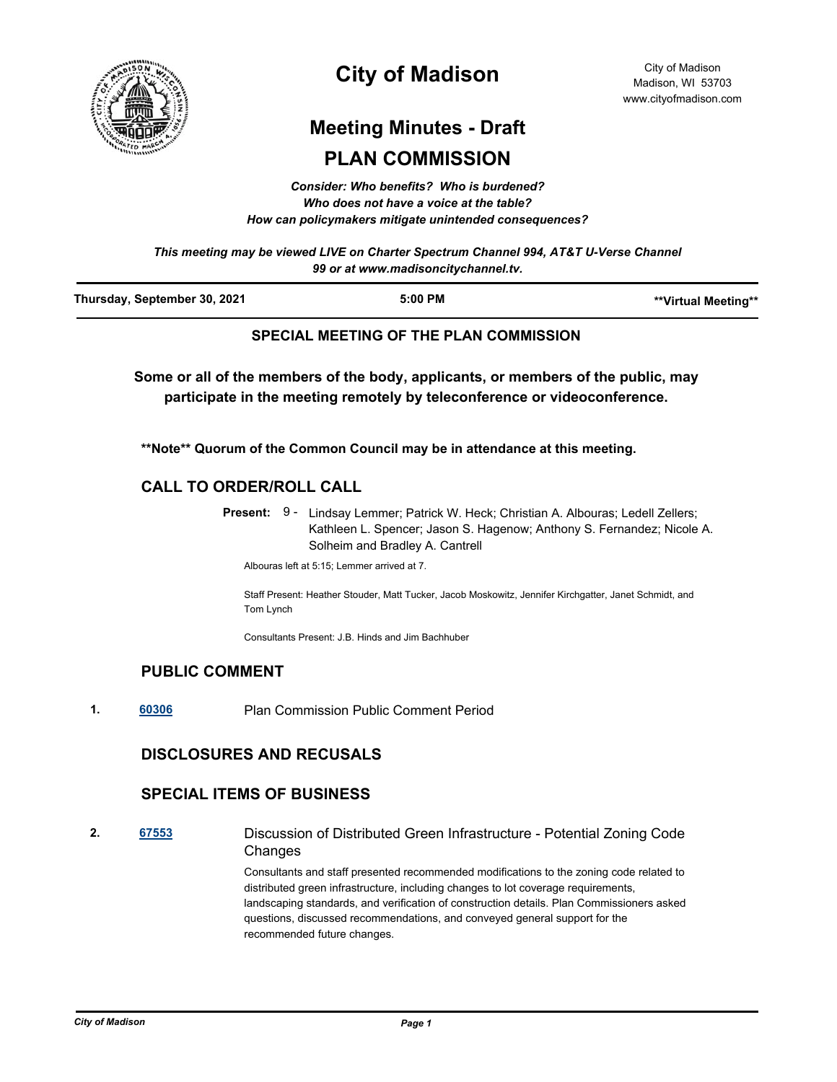

# **City of Madison**

City of Madison Madison, WI 53703 www.cityofmadison.com

# **Meeting Minutes - Draft PLAN COMMISSION**

*Consider: Who benefits? Who is burdened? Who does not have a voice at the table? How can policymakers mitigate unintended consequences?*

*This meeting may be viewed LIVE on Charter Spectrum Channel 994, AT&T U-Verse Channel 99 or at www.madisoncitychannel.tv.*

| Thursday, September 30, 2021 | 5:00 PM | **Virtual Meeting** |
|------------------------------|---------|---------------------|
|                              |         |                     |

# **SPECIAL MEETING OF THE PLAN COMMISSION**

**Some or all of the members of the body, applicants, or members of the public, may participate in the meeting remotely by teleconference or videoconference.**

**\*\*Note\*\* Quorum of the Common Council may be in attendance at this meeting.**

# **CALL TO ORDER/ROLL CALL**

Present: 9 - Lindsay Lemmer; Patrick W. Heck; Christian A. Albouras; Ledell Zellers; Kathleen L. Spencer; Jason S. Hagenow; Anthony S. Fernandez; Nicole A. Solheim and Bradley A. Cantrell

Albouras left at 5:15; Lemmer arrived at 7.

Staff Present: Heather Stouder, Matt Tucker, Jacob Moskowitz, Jennifer Kirchgatter, Janet Schmidt, and Tom Lynch

Consultants Present: J.B. Hinds and Jim Bachhuber

# **PUBLIC COMMENT**

**1. [60306](http://madison.legistar.com/gateway.aspx?m=l&id=/matter.aspx?key=71173)** Plan Commission Public Comment Period

# **DISCLOSURES AND RECUSALS**

#### **SPECIAL ITEMS OF BUSINESS**

**2. [67553](http://madison.legistar.com/gateway.aspx?m=l&id=/matter.aspx?key=79430)** Discussion of Distributed Green Infrastructure - Potential Zoning Code **Changes** 

> Consultants and staff presented recommended modifications to the zoning code related to distributed green infrastructure, including changes to lot coverage requirements, landscaping standards, and verification of construction details. Plan Commissioners asked questions, discussed recommendations, and conveyed general support for the recommended future changes.